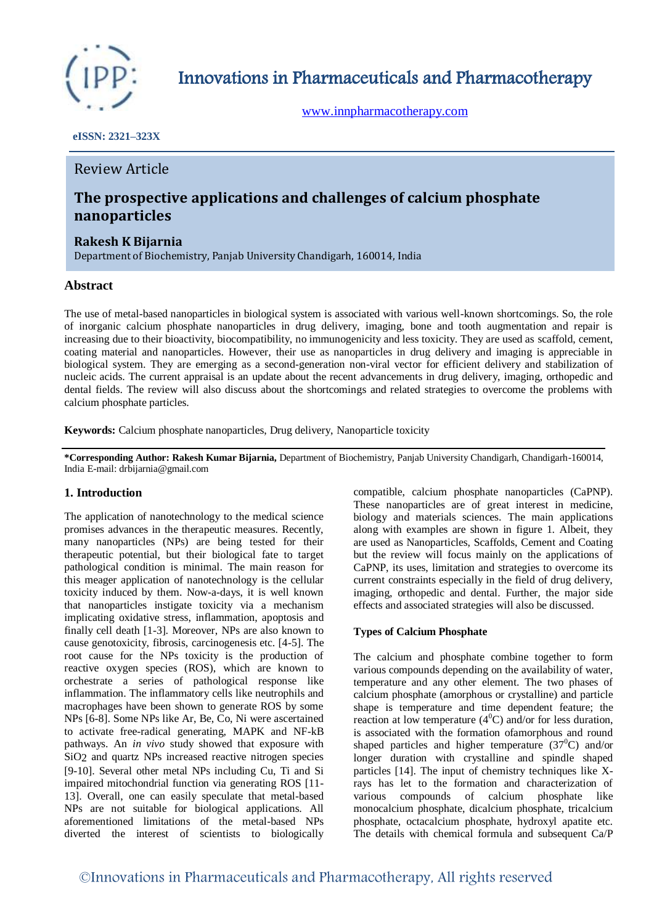

Innovations in Pharmaceuticals and Pharmacotherapy

[www.innpharmacotherapy.com](http://www.innpharmacotherapy.com/)

## **eISSN: 2321–323X**

# Review Article

# **The prospective applications and challenges of calcium phosphate nanoparticles**

# **Rakesh K Bijarnia**

Department of Biochemistry, Panjab University Chandigarh, 160014, India

# **Abstract**

The use of metal-based nanoparticles in biological system is associated with various well-known shortcomings. So, the role of inorganic calcium phosphate nanoparticles in drug delivery, imaging, bone and tooth augmentation and repair is increasing due to their bioactivity, biocompatibility, no immunogenicity and less toxicity. They are used as scaffold, cement, coating material and nanoparticles. However, their use as nanoparticles in drug delivery and imaging is appreciable in biological system. They are emerging as a second-generation non-viral vector for efficient delivery and stabilization of nucleic acids. The current appraisal is an update about the recent advancements in drug delivery, imaging, orthopedic and dental fields. The review will also discuss about the shortcomings and related strategies to overcome the problems with calcium phosphate particles.

**Keywords:** Calcium phosphate nanoparticles, Drug delivery, Nanoparticle toxicity

**\*Corresponding Author: Rakesh Kumar Bijarnia,** Department of Biochemistry, Panjab University Chandigarh, Chandigarh-160014, India E-mail: drbijarnia@gmail.com

# **1. Introduction**

The application of nanotechnology to the medical science promises advances in the therapeutic measures. Recently, many nanoparticles (NPs) are being tested for their therapeutic potential, but their biological fate to target pathological condition is minimal. The main reason for this meager application of nanotechnology is the cellular toxicity induced by them. Now-a-days, it is well known that nanoparticles instigate toxicity via a mechanism implicating oxidative stress, inflammation, apoptosis and finally cell death [1-3]. Moreover, NPs are also known to cause genotoxicity, fibrosis, carcinogenesis etc. [4-5]. The root cause for the NPs toxicity is the production of reactive oxygen species (ROS), which are known to orchestrate a series of pathological response like inflammation. The inflammatory cells like neutrophils and macrophages have been shown to generate ROS by some NPs [6-8]. Some NPs like Ar, Be, Co, Ni were ascertained to activate free-radical generating, MAPK and NF-kB pathways. An *in vivo* study showed that exposure with SiO2 and quartz NPs increased reactive nitrogen species [9-10]. Several other metal NPs including Cu, Ti and Si impaired mitochondrial function via generating ROS [11- 13]. Overall, one can easily speculate that metal-based NPs are not suitable for biological applications. All aforementioned limitations of the metal-based NPs diverted the interest of scientists to biologically

compatible, calcium phosphate nanoparticles (CaPNP). These nanoparticles are of great interest in medicine, biology and materials sciences. The main applications along with examples are shown in figure 1. Albeit, they are used as Nanoparticles, Scaffolds, Cement and Coating but the review will focus mainly on the applications of CaPNP, its uses, limitation and strategies to overcome its current constraints especially in the field of drug delivery, imaging, orthopedic and dental. Further, the major side effects and associated strategies will also be discussed.

# **Types of Calcium Phosphate**

The calcium and phosphate combine together to form various compounds depending on the availability of water, temperature and any other element. The two phases of calcium phosphate (amorphous or crystalline) and particle shape is temperature and time dependent feature; the reaction at low temperature  $(4^0C)$  and/or for less duration, is associated with the formation ofamorphous and round shaped particles and higher temperature  $(37^0C)$  and/or longer duration with crystalline and spindle shaped particles [14]. The input of chemistry techniques like Xrays has let to the formation and characterization of various compounds of calcium phosphate like monocalcium phosphate, dicalcium phosphate, tricalcium phosphate, octacalcium phosphate, hydroxyl apatite etc. The details with chemical formula and subsequent Ca/P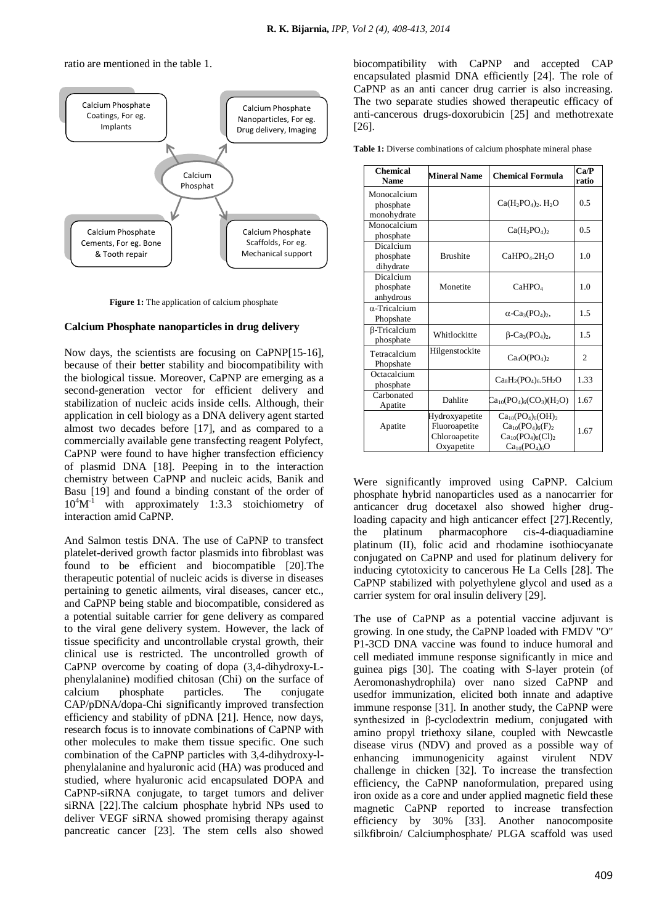ratio are mentioned in the table 1.



**Figure 1:** The application of calcium phosphate

### **Calcium Phosphate nanoparticles in drug delivery**

Now days, the scientists are focusing on CaPNP[15-16], because of their better stability and biocompatibility with the biological tissue. Moreover, CaPNP are emerging as a second-generation vector for efficient delivery and stabilization of nucleic acids inside cells. Although, their application in cell biology as a DNA delivery agent started almost two decades before [17], and as compared to a commercially available gene transfecting reagent Polyfect, CaPNP were found to have higher transfection efficiency of plasmid DNA [18]. Peeping in to the interaction chemistry between CaPNP and nucleic acids, Banik and Basu [19] and found a binding constant of the order of  $10^4 M^{-1}$ with approximately 1:3.3 stoichiometry of interaction amid CaPNP.

And Salmon testis DNA. The use of CaPNP to transfect platelet-derived growth factor plasmids into fibroblast was found to be efficient and biocompatible [20].The therapeutic potential of nucleic acids is diverse in diseases pertaining to genetic ailments, viral diseases, cancer etc., and CaPNP being stable and biocompatible, considered as a potential suitable carrier for gene delivery as compared to the viral gene delivery system. However, the lack of tissue specificity and uncontrollable crystal growth, their clinical use is restricted. The uncontrolled growth of CaPNP overcome by coating of dopa (3,4-dihydroxy-Lphenylalanine) modified chitosan (Chi) on the surface of calcium phosphate particles. The conjugate CAP/pDNA/dopa-Chi significantly improved transfection efficiency and stability of pDNA [21]. Hence, now days, research focus is to innovate combinations of CaPNP with other molecules to make them tissue specific. One such combination of the CaPNP particles with 3,4-dihydroxy-lphenylalanine and hyaluronic acid (HA) was produced and studied, where hyaluronic acid encapsulated DOPA and CaPNP-siRNA conjugate, to target tumors and deliver siRNA [22].The calcium phosphate hybrid NPs used to deliver VEGF siRNA showed promising therapy against pancreatic cancer [23]. The stem cells also showed biocompatibility with CaPNP and accepted CAP encapsulated plasmid DNA efficiently [24]. The role of CaPNP as an anti cancer drug carrier is also increasing. The two separate studies showed therapeutic efficacy of anti-cancerous drugs-doxorubicin [25] and methotrexate [26].

| <b>Chemical</b><br><b>Name</b>          | <b>Mineral Name</b>                                            | <b>Chemical Formula</b>                                                                            | Ca/P<br>ratio |
|-----------------------------------------|----------------------------------------------------------------|----------------------------------------------------------------------------------------------------|---------------|
| Monocalcium<br>phosphate<br>monohydrate |                                                                | $Ca(H_2PO_4)_2. H_2O$                                                                              | 0.5           |
| Monocalcium<br>phosphate                |                                                                | $Ca(H_2PO_4)_2$                                                                                    | 0.5           |
| Dicalcium<br>phosphate<br>dihydrate     | <b>Brushite</b>                                                | CaHPO <sub>4</sub> .2H <sub>2</sub> O                                                              | 1.0           |
| Dicalcium<br>phosphate<br>anhydrous     | Monetite                                                       | CaHPO <sub>4</sub>                                                                                 | 1.0           |
| $\alpha$ -Tricalcium<br>Phopshate       |                                                                | $\alpha$ -Ca <sub>3</sub> (PO <sub>4</sub> ) <sub>2</sub> ,                                        | 1.5           |
| β-Tricalcium<br>phosphate               | Whitlockitte                                                   | $\beta$ -Ca <sub>3</sub> (PO <sub>4</sub> ) <sub>2</sub> ,                                         | 1.5           |
| Tetracalcium<br>Phopshate               | Hilgenstockite                                                 | Ca <sub>4</sub> O(PO <sub>4</sub> )                                                                | 2             |
| Octacalcium<br>phosphate                |                                                                | $Ca_8H_2(PO_4)_6.5H_2O$                                                                            | 1.33          |
| Carbonated<br>Apatite                   | Dahlite                                                        | $Ca_{10}(PO_4)_6(CO_3)(H_2O)$                                                                      | 1.67          |
| Apatite                                 | Hydroxyapetite<br>Fluoroapetite<br>Chloroapetite<br>Oxyapetite | $Ca_{10}(PO_4)_6(OH)_2$<br>$Ca_{10}(PO_4)_6(F)_2$<br>$Ca_{10}(PO_4)_6(Cl)_2$<br>$Ca_{10}(PO_4)_6O$ | 1.67          |

Were significantly improved using CaPNP. Calcium phosphate hybrid nanoparticles used as a nanocarrier for anticancer drug docetaxel also showed higher drugloading capacity and high anticancer effect [27].Recently, the platinum pharmacophore cis-4-diaquadiamine platinum (II), folic acid and rhodamine isothiocyanate conjugated on CaPNP and used for platinum delivery for inducing cytotoxicity to cancerous He La Cells [28]. The CaPNP stabilized with polyethylene glycol and used as a carrier system for oral insulin delivery [29].

The use of CaPNP as a potential vaccine adjuvant is growing. In one study, the CaPNP loaded with FMDV "O" P1-3CD DNA vaccine was found to induce humoral and cell mediated immune response significantly in mice and guinea pigs [30]. The coating with S-layer protein (of Aeromonashydrophila) over nano sized CaPNP and usedfor immunization, elicited both innate and adaptive immune response [31]. In another study, the CaPNP were synthesized in β-cyclodextrin medium, conjugated with amino propyl triethoxy silane, coupled with Newcastle disease virus (NDV) and proved as a possible way of enhancing immunogenicity against virulent NDV challenge in chicken [32]. To increase the transfection efficiency, the CaPNP nanoformulation, prepared using iron oxide as a core and under applied magnetic field these magnetic CaPNP reported to increase transfection efficiency by 30% [33]. Another nanocomposite silkfibroin/ Calciumphosphate/ PLGA scaffold was used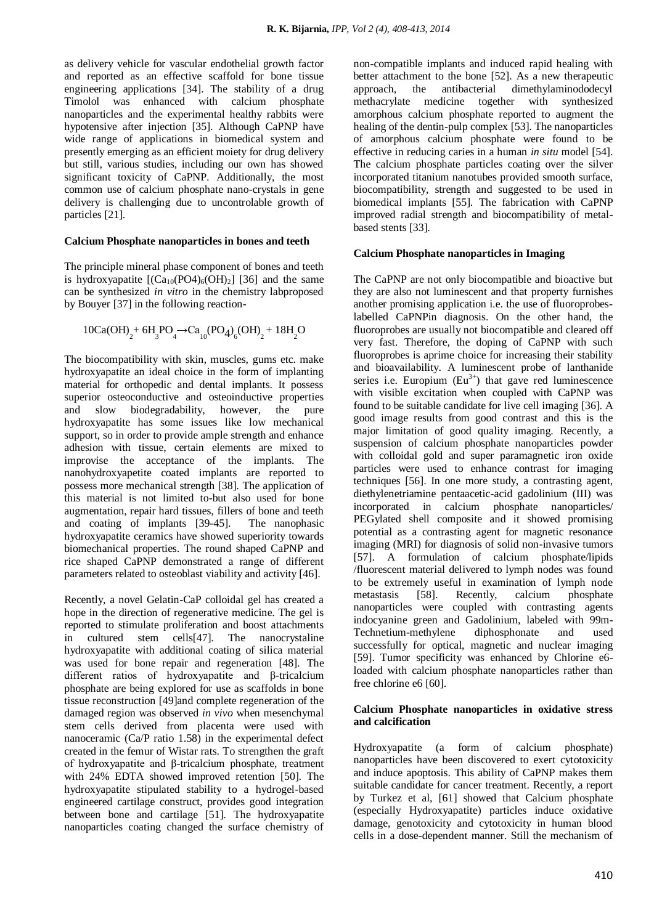as delivery vehicle for vascular endothelial growth factor and reported as an effective scaffold for bone tissue engineering applications [34]. The stability of a drug Timolol was enhanced with calcium phosphate nanoparticles and the experimental healthy rabbits were hypotensive after injection [35]. Although CaPNP have wide range of applications in biomedical system and presently emerging as an efficient moiety for drug delivery but still, various studies, including our own has showed significant toxicity of CaPNP. Additionally, the most common use of calcium phosphate nano-crystals in gene delivery is challenging due to uncontrolable growth of particles [21].

### **Calcium Phosphate nanoparticles in bones and teeth**

The principle mineral phase component of bones and teeth is hydroxyapatite  $[(Ca_{10}(PO4)_6(OH)_2]$  [36] and the same can be synthesized *in vitro* in the chemistry labproposed by Bouyer [37] in the following reaction-

$$
10Ca(OH)_{2} + 6H_{3}PO_{4} \rightarrow Ca_{10}(PO_{4})_{6}(OH)_{2} + 18H_{2}O
$$

The biocompatibility with skin, muscles, gums etc. make hydroxyapatite an ideal choice in the form of implanting material for orthopedic and dental implants. It possess superior osteoconductive and osteoinductive properties and slow biodegradability, however, the pure hydroxyapatite has some issues like low mechanical support, so in order to provide ample strength and enhance adhesion with tissue, certain elements are mixed to improvise the acceptance of the implants. The nanohydroxyapetite coated implants are reported to possess more mechanical strength [38]. The application of this material is not limited to-but also used for bone augmentation, repair hard tissues, fillers of bone and teeth and coating of implants [39-45]. The nanophasic hydroxyapatite ceramics have showed superiority towards biomechanical properties. The round shaped CaPNP and rice shaped CaPNP demonstrated a range of different parameters related to osteoblast viability and activity [46].

Recently, a novel Gelatin-CaP colloidal gel has created a hope in the direction of regenerative medicine. The gel is reported to stimulate proliferation and boost attachments in cultured stem cells[47]. The nanocrystaline hydroxyapatite with additional coating of silica material was used for bone repair and regeneration [48]. The different ratios of hydroxyapatite and β-tricalcium phosphate are being explored for use as scaffolds in bone tissue reconstruction [49]and complete regeneration of the damaged region was observed *in vivo* when mesenchymal stem cells derived from placenta were used with nanoceramic (Ca/P ratio 1.58) in the experimental defect created in the femur of Wistar rats. To strengthen the graft of hydroxyapatite and β-tricalcium phosphate, treatment with 24% EDTA showed improved retention [50]. The hydroxyapatite stipulated stability to a hydrogel-based engineered cartilage construct, provides good integration between bone and cartilage [51]. The hydroxyapatite nanoparticles coating changed the surface chemistry of non-compatible implants and induced rapid healing with better attachment to the bone [52]. As a new therapeutic approach, the antibacterial dimethylaminododecyl methacrylate medicine together with synthesized amorphous calcium phosphate reported to augment the healing of the dentin-pulp complex [53]. The nanoparticles of amorphous calcium phosphate were found to be effective in reducing caries in a human *in situ* model [54]. The calcium phosphate particles coating over the silver incorporated titanium nanotubes provided smooth surface, biocompatibility, strength and suggested to be used in biomedical implants [55]. The fabrication with CaPNP improved radial strength and biocompatibility of metalbased stents [33].

#### **Calcium Phosphate nanoparticles in Imaging**

The CaPNP are not only biocompatible and bioactive but they are also not luminescent and that property furnishes another promising application i.e. the use of fluoroprobeslabelled CaPNPin diagnosis. On the other hand, the fluoroprobes are usually not biocompatible and cleared off very fast. Therefore, the doping of CaPNP with such fluoroprobes is aprime choice for increasing their stability and bioavailability. A luminescent probe of lanthanide series i.e. Europium  $(Eu<sup>3+</sup>)$  that gave red luminescence with visible excitation when coupled with CaPNP was found to be suitable candidate for live cell imaging [36]. A good image results from good contrast and this is the major limitation of good quality imaging. Recently, a suspension of calcium phosphate nanoparticles powder with colloidal gold and super paramagnetic iron oxide particles were used to enhance contrast for imaging techniques [56]. In one more study, a contrasting agent, diethylenetriamine pentaacetic-acid gadolinium (III) was incorporated in calcium phosphate nanoparticles/ PEGylated shell composite and it showed promising potential as a contrasting agent for magnetic resonance imaging (MRI) for diagnosis of solid non-invasive tumors [57]. A formulation of calcium phosphate/lipids /fluorescent material delivered to lymph nodes was found to be extremely useful in examination of lymph node metastasis [58]. Recently, calcium phosphate nanoparticles were coupled with contrasting agents indocyanine green and Gadolinium, labeled with 99m-Technetium-methylene diphosphonate and used successfully for optical, magnetic and nuclear imaging [59]. Tumor specificity was enhanced by Chlorine e6 loaded with calcium phosphate nanoparticles rather than free chlorine e6 [60].

### **Calcium Phosphate nanoparticles in oxidative stress and calcification**

Hydroxyapatite (a form of calcium phosphate) nanoparticles have been discovered to exert cytotoxicity and induce apoptosis. This ability of CaPNP makes them suitable candidate for cancer treatment. Recently, a report by Turkez et al, [61] showed that Calcium phosphate (especially Hydroxyapatite) particles induce oxidative damage, genotoxicity and cytotoxicity in human blood cells in a dose-dependent manner. Still the mechanism of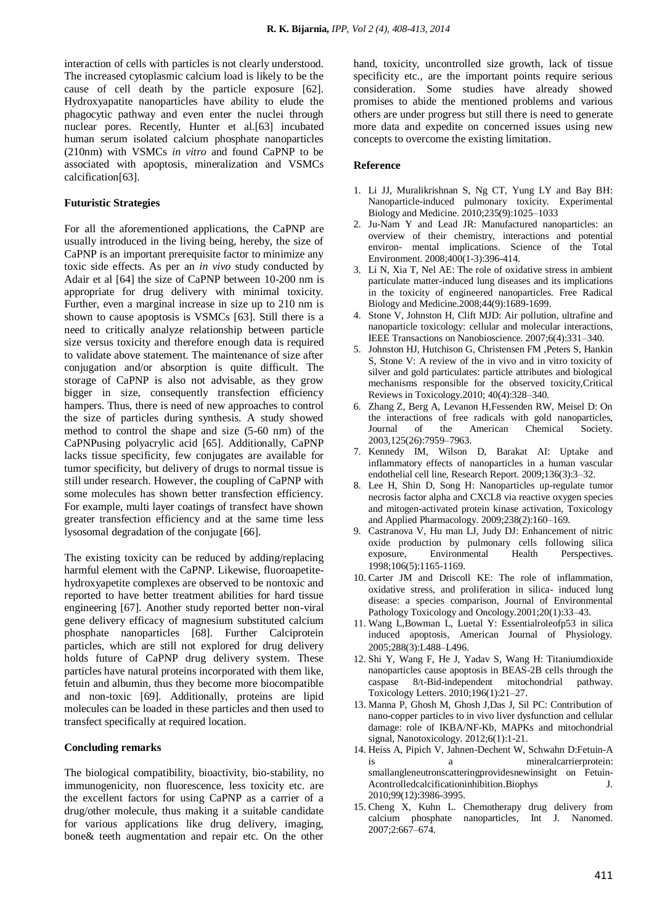interaction of cells with particles is not clearly understood. The increased cytoplasmic calcium load is likely to be the cause of cell death by the particle exposure [62]. Hydroxyapatite nanoparticles have ability to elude the phagocytic pathway and even enter the nuclei through nuclear pores. Recently, Hunter et al.[63] incubated human serum isolated calcium phosphate nanoparticles (210nm) with VSMCs *in vitro* and found CaPNP to be associated with apoptosis, mineralization and VSMCs calcification[63].

#### **Futuristic Strategies**

For all the aforementioned applications, the CaPNP are usually introduced in the living being, hereby, the size of CaPNP is an important prerequisite factor to minimize any toxic side effects. As per an *in vivo* study conducted by Adair et al [64] the size of CaPNP between 10-200 nm is appropriate for drug delivery with minimal toxicity. Further, even a marginal increase in size up to 210 nm is shown to cause apoptosis is VSMCs [63]. Still there is a need to critically analyze relationship between particle size versus toxicity and therefore enough data is required to validate above statement. The maintenance of size after conjugation and/or absorption is quite difficult. The storage of CaPNP is also not advisable, as they grow bigger in size, consequently transfection efficiency hampers. Thus, there is need of new approaches to control the size of particles during synthesis. A study showed method to control the shape and size (5-60 nm) of the CaPNPusing polyacrylic acid [65]. Additionally, CaPNP lacks tissue specificity, few conjugates are available for tumor specificity, but delivery of drugs to normal tissue is still under research. However, the coupling of CaPNP with some molecules has shown better transfection efficiency. For example, multi layer coatings of transfect have shown greater transfection efficiency and at the same time less lysosomal degradation of the conjugate [66].

The existing toxicity can be reduced by adding/replacing harmful element with the CaPNP. Likewise, fluoroapetitehydroxyapetite complexes are observed to be nontoxic and reported to have better treatment abilities for hard tissue engineering [67]. Another study reported better non-viral gene delivery efficacy of magnesium substituted calcium phosphate nanoparticles [68]. Further Calciprotein particles, which are still not explored for drug delivery holds future of CaPNP drug delivery system. These particles have natural proteins incorporated with them like, fetuin and albumin, thus they become more biocompatible and non-toxic [69]. Additionally, proteins are lipid molecules can be loaded in these particles and then used to transfect specifically at required location.

#### **Concluding remarks**

The biological compatibility, bioactivity, bio-stability, no immunogenicity, non fluorescence, less toxicity etc. are the excellent factors for using CaPNP as a carrier of a drug/other molecule, thus making it a suitable candidate for various applications like drug delivery, imaging, bone& teeth augmentation and repair etc. On the other

hand, toxicity, uncontrolled size growth, lack of tissue specificity etc., are the important points require serious consideration. Some studies have already showed promises to abide the mentioned problems and various others are under progress but still there is need to generate more data and expedite on concerned issues using new concepts to overcome the existing limitation.

#### **Reference**

- 1. Li JJ, Muralikrishnan S, Ng CT, Yung LY and Bay BH: Nanoparticle-induced pulmonary toxicity. Experimental Biology and Medicine. 2010;235(9):1025–1033
- 2. Ju-Nam Y and Lead JR: Manufactured nanoparticles: an overview of their chemistry, interactions and potential environ- mental implications. Science of the Total Environment. 2008;400(1-3):396-414.
- 3. Li N, Xia T, Nel AE: The role of oxidative stress in ambient particulate matter-induced lung diseases and its implications in the toxicity of engineered nanoparticles. Free Radical Biology and Medicine.2008;44(9):1689-1699.
- 4. Stone V, Johnston H, Clift MJD: Air pollution, ultrafine and nanoparticle toxicology: cellular and molecular interactions, IEEE Transactions on Nanobioscience. 2007;6(4):331–340.
- 5. Johnston HJ, Hutchison G, Christensen FM ,Peters S, Hankin S, Stone V: A review of the in vivo and in vitro toxicity of silver and gold particulates: particle attributes and biological mechanisms responsible for the observed toxicity,Critical Reviews in Toxicology.2010; 40(4):328–340.
- 6. Zhang Z, Berg A, Levanon H,Fessenden RW, Meisel D: On the interactions of free radicals with gold nanoparticles,<br>Journal of the American Chemical Society Journal of the American Chemical Society. 2003,125(26):7959–7963.
- 7. Kennedy IM, Wilson D, Barakat AI: Uptake and inflammatory effects of nanoparticles in a human vascular endothelial cell line, Research Report. 2009;136(3):3–32.
- 8. Lee H, Shin D, Song H: Nanoparticles up-regulate tumor necrosis factor alpha and CXCL8 via reactive oxygen species and mitogen-activated protein kinase activation, Toxicology and Applied Pharmacology. 2009;238(2):160–169.
- 9. Castranova V, Hu man LJ, Judy DJ: Enhancement of nitric oxide production by pulmonary cells following silica exposure, Environmental Health Perspectives. 1998;106(5):1165-1169.
- 10. Carter JM and Driscoll KE: The role of inflammation, oxidative stress, and proliferation in silica- induced lung disease: a species comparison, Journal of Environmental Pathology Toxicology and Oncology.2001;20(1):33–43.
- 11. Wang L,Bowman L, Luetal Y: Essentialroleofp53 in silica induced apoptosis, American Journal of Physiology. 2005;288(3):L488–L496.
- 12. Shi Y, Wang F, He J, Yadav S, Wang H: Titaniumdioxide nanoparticles cause apoptosis in BEAS-2B cells through the caspase 8/t-Bid-independent mitochondrial pathway. Toxicology Letters. 2010;196(1):21–27.
- 13. Manna P, Ghosh M, Ghosh J,Das J, Sil PC: Contribution of nano-copper particles to in vivo liver dysfunction and cellular damage: role of IKBA/NF-Kb, MAPKs and mitochondrial signal, Nanotoxicology. 2012;6(1):1-21.
- 14. Heiss A, Pipich V, Jahnen-Dechent W, Schwahn D:Fetuin-A is a mineralcarrierprotein: smallangleneutronscatteringprovidesnewinsight on Fetuin-Acontrolledcalcificationinhibition.Biophys J. 2010;99(12):3986-3995.
- 15. Cheng X, Kuhn L. Chemotherapy drug delivery from calcium phosphate nanoparticles, Int J. Nanomed. 2007;2:667–674.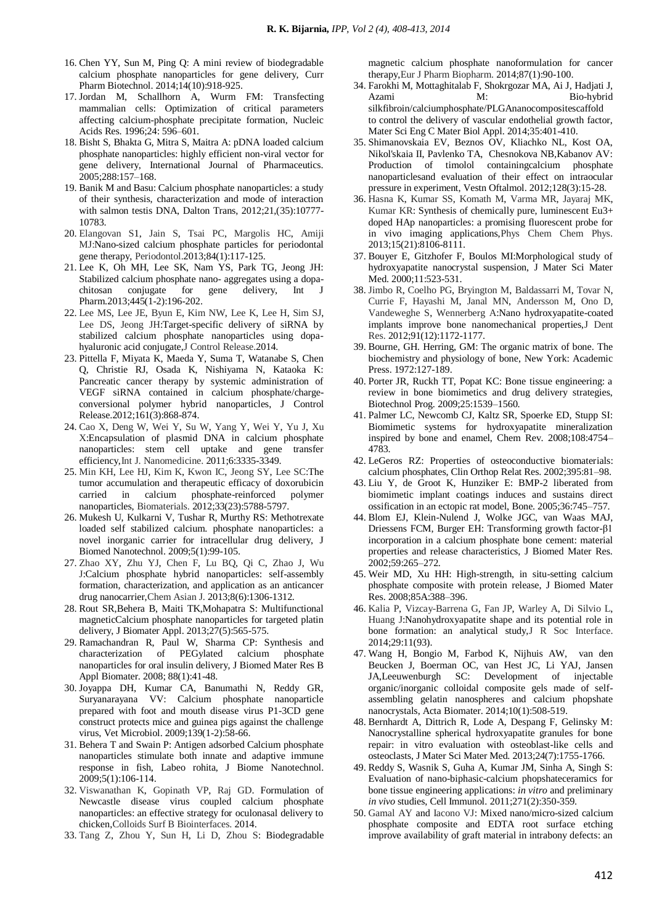- 16. Chen YY, Sun M, Ping Q: A mini review of biodegradable calcium phosphate nanoparticles for gene delivery, Curr Pharm Biotechnol. 2014;14(10):918-925.
- 17. Jordan M, Schallhorn A, Wurm FM: Transfecting mammalian cells: Optimization of critical parameters affecting calcium-phosphate precipitate formation, Nucleic Acids Res. 1996;24: 596–601.
- 18. Bisht S, Bhakta G, Mitra S, Maitra A: pDNA loaded calcium phosphate nanoparticles: highly efficient non-viral vector for gene delivery, International Journal of Pharmaceutics. 2005;288:157–168.
- 19. Banik M and Basu: Calcium phosphate nanoparticles: a study of their synthesis, characterization and mode of interaction with salmon testis DNA, Dalton Trans, 2012;21,(35):10777- 10783.
- 20. Elangovan S1, Jain S, Tsai PC, Margolis HC, Amiji MJ:Nano-sized calcium phosphate particles for periodontal gene therapy, Periodontol.2013;84(1):117-125.
- 21. Lee K, Oh MH, Lee SK, Nam YS, Park TG, Jeong JH: Stabilized calcium phosphate nano- aggregates using a dopachitosan conjugate for gene delivery, Int J Pharm.2013;445(1-2):196-202.
- 22. Lee MS, [Lee JE,](http://www.ncbi.nlm.nih.gov/pubmed?term=Lee%20JE%5BAuthor%5D&cauthor=true&cauthor_uid=24995950) [Byun E,](http://www.ncbi.nlm.nih.gov/pubmed?term=Byun%20E%5BAuthor%5D&cauthor=true&cauthor_uid=24995950) Kim NW, Lee K, Lee H, Sim SJ, Lee DS, Jeong JH:Target-specific delivery of siRNA by stabilized calcium phosphate nanoparticles using dopahyaluronic acid conjugate,J Control Release.2014.
- 23. Pittella F, Miyata K, Maeda Y, Suma T, Watanabe S, Chen Q, Christie RJ, Osada K, Nishiyama N, Kataoka K: Pancreatic cancer therapy by systemic administration of VEGF siRNA contained in calcium phosphate/chargeconversional polymer hybrid nanoparticles, J Control Release.2012;161(3):868-874.
- 24. Cao X, Deng W, [Wei Y,](http://www.ncbi.nlm.nih.gov/pubmed?term=Wei%20Y%5BAuthor%5D&cauthor=true&cauthor_uid=22229000) [Su W,](http://www.ncbi.nlm.nih.gov/pubmed?term=Su%20W%5BAuthor%5D&cauthor=true&cauthor_uid=22229000) [Yang Y,](http://www.ncbi.nlm.nih.gov/pubmed?term=Yang%20Y%5BAuthor%5D&cauthor=true&cauthor_uid=22229000) Wei Y, [Yu J,](http://www.ncbi.nlm.nih.gov/pubmed?term=Yu%20J%5BAuthor%5D&cauthor=true&cauthor_uid=22229000) [Xu](http://www.ncbi.nlm.nih.gov/pubmed?term=Xu%20X%5BAuthor%5D&cauthor=true&cauthor_uid=22229000)  [X:E](http://www.ncbi.nlm.nih.gov/pubmed?term=Xu%20X%5BAuthor%5D&cauthor=true&cauthor_uid=22229000)ncapsulation of plasmid DNA in calcium phosphate nanoparticles: stem cell uptake and gene transfer efficiency,Int J. Nanomedicine. 2011;6:3335-3349.
- 25. Min KH, Lee HJ, Kim K, Kwon IC, Jeong SY, Lee SC:The tumor accumulation and therapeutic efficacy of doxorubicin carried in calcium phosphate-reinforced polymer nanoparticles, Biomaterials. 2012;33(23):5788-5797.
- 26. Mukesh U, Kulkarni V, Tushar R, Murthy RS: Methotrexate loaded self stabilized calcium. phosphate nanoparticles: a novel inorganic carrier for intracellular drug delivery, J Biomed Nanotechnol. 2009;5(1):99-105.
- 27. Zhao XY, Zhu YJ, Chen F, Lu BQ, Qi C, Zhao J, [Wu](http://www.ncbi.nlm.nih.gov/pubmed?term=Wu%20J%5BAuthor%5D&cauthor=true&cauthor_uid=23589508)  [J:C](http://www.ncbi.nlm.nih.gov/pubmed?term=Wu%20J%5BAuthor%5D&cauthor=true&cauthor_uid=23589508)alcium phosphate hybrid nanoparticles: self-assembly formation, characterization, and application as an anticancer drug nanocarrier,Chem Asian J. 2013;8(6):1306-1312.
- 28. Rout SR,Behera B, Maiti TK,Mohapatra S: Multifunctional magneticCalcium phosphate nanoparticles for targeted platin delivery, J Biomater Appl. 2013;27(5):565-575.
- 29. Ramachandran R, Paul W, Sharma CP: Synthesis and characterization of PEGylated calcium phosphate nanoparticles for oral insulin delivery, J Biomed Mater Res B Appl Biomater. 2008; 88(1):41-48.
- 30. Joyappa DH, Kumar CA, Banumathi N, Reddy GR, Suryanarayana VV: Calcium phosphate nanoparticle prepared with foot and mouth disease virus P1-3CD gene construct protects mice and guinea pigs against the challenge virus, Vet Microbiol. 2009;139(1-2):58-66.
- 31. Behera T and Swain P: Antigen adsorbed Calcium phosphate nanoparticles stimulate both innate and adaptive immune response in fish, Labeo rohita, J Biome Nanotechnol. 2009;5(1):106-114.
- 32. Viswanathan K, Gopinath VP, Raj GD. Formulation of Newcastle disease virus coupled calcium phosphate nanoparticles: an effective strategy for oculonasal delivery to chicken,Colloids Surf B Biointerfaces. 2014.
- 33. Tang Z, Zhou Y, Sun H, Li D, Zhou S: Biodegradable

magnetic calcium phosphate nanoformulation for cancer therapy,Eur J Pharm Biopharm. 2014;87(1):90-100.

- 34. Farokhi M, Mottaghitalab F, Shokrgozar MA, Ai J, Hadjati J, Azami M: Bio-hybrid silkfibroin/calciumphosphate/PLGAnanocompositescaffold to control the delivery of vascular endothelial growth factor, Mater Sci Eng C Mater Biol Appl. 2014;35:401-410.
- 35. Shimanovskaia EV, Beznos OV, Kliachko NL, Kost OA, Nikol'skaia II, Pavlenko TA, Chesnokova NB,Kabanov AV: Production of timolol containingcalcium phosphate nanoparticlesand evaluation of their effect on intraocular pressure in experiment, Vestn Oftalmol. 2012;128(3):15-28.
- 36. Hasna K, Kumar SS, Komath M, Varma MR, Jayaraj MK, Kumar KR: Synthesis of chemically pure, luminescent Eu3+ doped HAp nanoparticles: a promising fluorescent probe for in vivo imaging applications,Phys Chem Chem Phys. 2013;15(21):8106-8111.
- 37. Bouyer E, Gitzhofer F, Boulos MI:Morphological study of hydroxyapatite nanocrystal suspension, J Mater Sci Mater Med. 2000;11:523-531.
- 38. Jimbo R, Coelho PG, Bryington M, Baldassarri M, Tovar N, Currie F, Hayashi M, Janal MN, Andersson M, Ono D, Vandeweghe S, Wennerberg A:Nano hydroxyapatite-coated implants improve bone nanomechanical properties,J Dent Res. 2012;91(12):1172-1177.
- 39. Bourne, GH. Herring, GM: The organic matrix of bone. The biochemistry and physiology of bone, New York: Academic Press. 1972:127-189.
- 40. Porter JR, Ruckh TT, Popat KC: Bone tissue engineering: a review in bone biomimetics and drug delivery strategies, Biotechnol Prog. 2009;25:1539–1560.
- 41. Palmer LC, Newcomb CJ, Kaltz SR, Spoerke ED, Stupp SI: Biomimetic systems for hydroxyapatite mineralization inspired by bone and enamel, Chem Rev. 2008;108:4754– 4783.
- 42. LeGeros RZ: Properties of osteoconductive biomaterials: calcium phosphates, Clin Orthop Relat Res. 2002;395:81–98.
- 43. Liu Y, de Groot K, Hunziker E: BMP-2 liberated from biomimetic implant coatings induces and sustains direct ossification in an ectopic rat model, Bone. 2005;36:745–757.
- 44. Blom EJ, Klein-Nulend J, Wolke JGC, van Waas MAJ, Driessens FCM, Burger EH: Transforming growth factor-β1 incorporation in a calcium phosphate bone cement: material properties and release characteristics, J Biomed Mater Res. 2002;59:265–272.
- 45. Weir MD, Xu HH: High-strength, in situ-setting calcium phosphate composite with protein release, J Biomed Mater Res. 2008;85A:388–396.
- 46. Kalia P, Vizcay-Barrena G, Fan JP, Warley A, Di Silvio L, Huang J:Nanohydroxyapatite shape and its potential role in bone formation: an analytical study, J R Soc Interface. 2014;29:11(93).
- 47. Wang H, Bongio M, Farbod K, Nijhuis AW, van den Beucken J, Boerman OC, van Hest JC, Li YAJ, Jansen JA,Leeuwenburgh SC: Development of injectable organic/inorganic colloidal composite gels made of selfassembling gelatin nanospheres and calcium phopshate nanocrystals, Acta Biomater. 2014;10(1):508-519.
- 48. Bernhardt A, Dittrich R, Lode A, Despang F, Gelinsky M: Nanocrystalline spherical hydroxyapatite granules for bone repair: in vitro evaluation with osteoblast-like cells and osteoclasts, J Mater Sci Mater Med. 2013;24(7):1755-1766.
- 49. Reddy S, Wasnik S, Guha A, Kumar JM, Sinha A, Singh S: Evaluation of nano-biphasic-calcium phopshateceramics for bone tissue engineering applications: *in vitro* and preliminary *in vivo* studies, Cell Immunol. 2011;271(2):350-359.
- 50. Gamal AY and Iacono VJ: Mixed nano/micro-sized calcium phosphate composite and EDTA root surface etching improve availability of graft material in intrabony defects: an